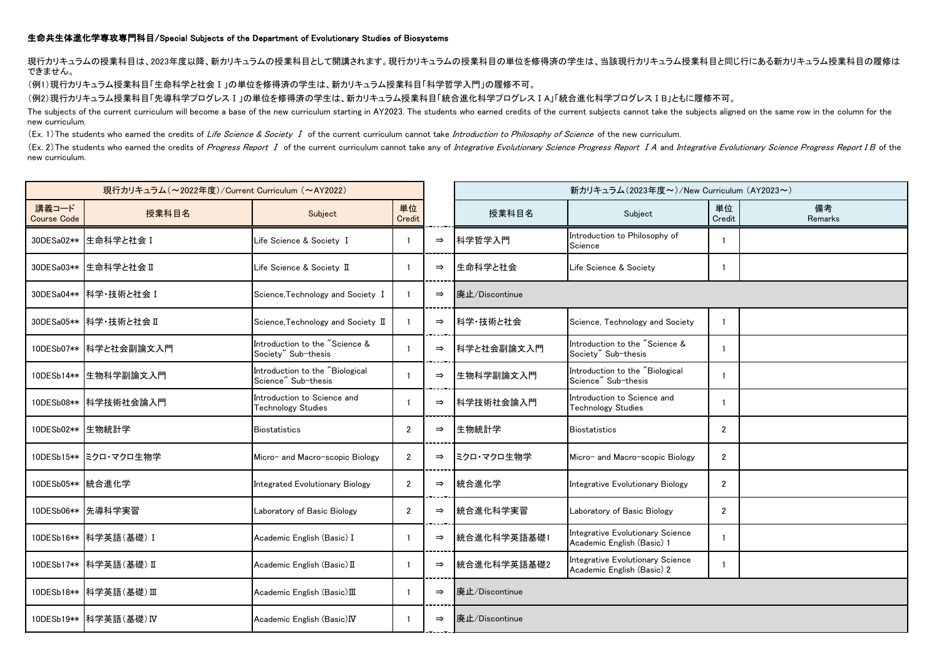## 生命共生体進化学専攻専門科目/Special Subjects of the Department of Evolutionary Studies of Biosystems

現行カリキュラムの授業科目は、2023年度以降、新カリキュラムの授業科目として開講されます。現行カリキュラムの授業科目の単位を修得済の学生は、当該現行カリキュラム授業科目と同じ行にある新カリキュラム授業科目の履修は できません。

(例1)現行カリキュラム授業科目「生命科学と社会Ⅰ」の単位を修得済の学生は、新カリキュラム授業科目「科学哲学入門」の履修不可。

(例2)現行カリキュラム授業科目「先導科学プログレスⅠ」の単位を修得済の学生は、新カリキュラム授業科目「統合進化科学プログレスⅠA」「統合進化科学プログレスⅠB」ともに履修不可。

The subjects of the current curriculum will become a base of the new curriculum starting in AY2023. The students who earned credits of the current subjects cannot take the subjects aligned on the same row in the column for new curriculum.

(Ex. 1) The students who earned the credits of Life Science & Society I of the current curriculum cannot take Introduction to Philosophy of Science of the new curriculum.

(Ex. 2) The students who earned the credits of Progress Report I of the current curriculum cannot take any of Integrative Evolutionary Science Progress Report I A and Integrative Evolutionary Science Progress Report I B of new curriculum.

|                             | 現行カリキュラム (~2022年度)/Current Curriculum (~AY2022) |                                                        |                         |               | 新カリキュラム(2023年度~)/New Curriculum (AY2023~) |                                                                |                |               |  |  |
|-----------------------------|-------------------------------------------------|--------------------------------------------------------|-------------------------|---------------|-------------------------------------------|----------------------------------------------------------------|----------------|---------------|--|--|
| 講義コード<br><b>Course Code</b> | 授業科目名                                           | Subject                                                | 単位<br>Credit            |               | 授業科目名                                     | Subject                                                        | 単位<br>Credit   | 備考<br>Remarks |  |  |
|                             | 30DESa02 ** 生命科学と社会 I                           | Life Science & Society I                               | - 1                     | $\Rightarrow$ | 科学哲学入門                                    | Introduction to Philosophy of<br>Science                       | $\mathbf{1}$   |               |  |  |
|                             | 30DESa03 ** 生命科学と社会 II                          | Life Science & Society II                              | -1                      | $\Rightarrow$ | 生命科学と社会                                   | Life Science & Society                                         | $\mathbf{1}$   |               |  |  |
|                             | 30DESa04** 科学·技術と社会 I                           | Science, Technology and Society I                      | -1                      | $\Rightarrow$ | 廃止/Discontinue                            |                                                                |                |               |  |  |
|                             | 30DESa05** 科学·技術と社会 II                          | Science, Technology and Society II                     | $\overline{\mathbf{1}}$ | $\Rightarrow$ | 科学・技術と社会                                  | Science, Technology and Society                                | $\mathbf{1}$   |               |  |  |
|                             | 10DESb07** 科学と社会副論文入門                           | Introduction to the "Science &<br>Society" Sub-thesis  |                         | $\Rightarrow$ | 科学と社会副論文入門                                | Introduction to the "Science &<br>Society" Sub-thesis          | $\mathbf{1}$   |               |  |  |
|                             | 10DESb14** 生物科学副論文入門                            | Introduction to the "Biological<br>Science" Sub-thesis |                         | $\Rightarrow$ | 生物科学副論文入門                                 | Introduction to the "Biological<br>Science" Sub-thesis         | $\mathbf{1}$   |               |  |  |
|                             | 10DESb08** 科学技術社会論入門                            | Introduction to Science and<br>Technology Studies      | -1                      | $\Rightarrow$ | 科学技術社会論入門                                 | Introduction to Science and<br><b>Technology Studies</b>       | $\mathbf{1}$   |               |  |  |
| 10DESb02** 生物統計学            |                                                 | <b>Biostatistics</b>                                   | $\overline{2}$          | $\Rightarrow$ | 生物統計学                                     | <b>Biostatistics</b>                                           | $\overline{2}$ |               |  |  |
|                             | 10DESb15** ミクロ・マクロ生物学                           | Micro- and Macro-scopic Biology                        | $\overline{2}$          | $\Rightarrow$ | ミクロ・マクロ生物学                                | Micro- and Macro-scopic Biology                                | $\overline{2}$ |               |  |  |
| 10DESb05** 統合進化学            |                                                 | <b>Integrated Evolutionary Biology</b>                 | $\overline{2}$          | $\Rightarrow$ | 統合進化学                                     | Integrative Evolutionary Biology                               | $\overline{2}$ |               |  |  |
|                             | 10DESb06** 先導科学実習                               | Laboratory of Basic Biology                            | $\overline{2}$          | $\Rightarrow$ | 統合進化科学実習                                  | Laboratory of Basic Biology                                    | $\overline{2}$ |               |  |  |
|                             | 10DESb16** 科学英語(基礎) I                           | Academic English (Basic) I                             | -1                      | $\Rightarrow$ | 統合進化科学英語基礎1                               | Integrative Evolutionary Science<br>Academic English (Basic) 1 | $\mathbf{1}$   |               |  |  |
|                             | 10DESb17** 科学英語(基礎) II                          | Academic English (Basic) II                            |                         | $\Rightarrow$ | 統合進化科学英語基礎2                               | Integrative Evolutionary Science<br>Academic English (Basic) 2 | $\mathbf{1}$   |               |  |  |
|                             | 10DESb18** 科学英語(基礎) Ⅲ                           | Academic English (Basic)III                            |                         | $\Rightarrow$ | 廃止/Discontinue                            |                                                                |                |               |  |  |
|                             | 10DESb19** 科学英語(基礎) IV                          | Academic English (Basic)IV                             | -1                      | $\Rightarrow$ | 廃止/Discontinue                            |                                                                |                |               |  |  |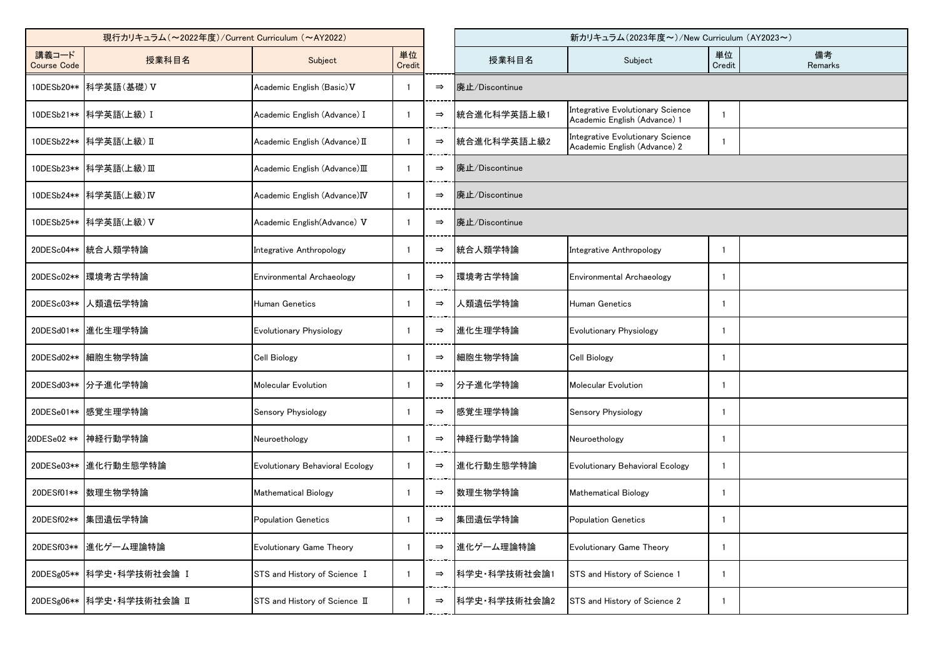| 現行カリキュラム (~2022年度)/Current Curriculum (~AY2022) |                           |                                 |              |               | 新カリキュラム (2023年度~)/New Curriculum (AY2023~) |                                                                  |              |               |  |  |  |
|-------------------------------------------------|---------------------------|---------------------------------|--------------|---------------|--------------------------------------------|------------------------------------------------------------------|--------------|---------------|--|--|--|
| 講義コード<br><b>Course Code</b>                     | 授業科目名                     | Subject                         | 単位<br>Credit |               | 授業科目名                                      | Subject                                                          | 単位<br>Credit | 備考<br>Remarks |  |  |  |
|                                                 | 10DESb20** 科学英語(基礎) V     | Academic English (Basic) V      |              | $\Rightarrow$ | 廃止/Discontinue                             |                                                                  |              |               |  |  |  |
|                                                 | 10DESb21** 科学英語(上級) I     | Academic English (Advance) I    |              | $\Rightarrow$ | 統合進化科学英語上級1                                | Integrative Evolutionary Science<br>Academic English (Advance) 1 |              |               |  |  |  |
|                                                 | 10DESb22** 科学英語(上級) II    | Academic English (Advance) II   |              | $\Rightarrow$ | 統合進化科学英語上級2                                | Integrative Evolutionary Science<br>Academic English (Advance) 2 |              |               |  |  |  |
|                                                 | 10DESb23** 科学英語(上級) Ⅲ     | Academic English (Advance)III   |              | $\Rightarrow$ | 廃止/Discontinue                             |                                                                  |              |               |  |  |  |
|                                                 | 10DESb24** 科学英語(上級) IV    | Academic English (Advance)IV    |              | $\Rightarrow$ | 廃止/Discontinue                             |                                                                  |              |               |  |  |  |
| 10DESb25**                                      | 科学英語(上級) V                | Academic English(Advance) V     |              | $\Rightarrow$ | 廃止/Discontinue                             |                                                                  |              |               |  |  |  |
|                                                 | 20DESc04** 統合人類学特論        | Integrative Anthropology        |              | $\Rightarrow$ | 統合人類学特論                                    | Integrative Anthropology                                         | -1           |               |  |  |  |
| 20DESc02**                                      | 環境考古学特論                   | Environmental Archaeology       |              | $\Rightarrow$ | 環境考古学特論                                    | Environmental Archaeology                                        | $\mathbf{1}$ |               |  |  |  |
| 20DESc03**                                      | 人類遺伝学特論                   | Human Genetics                  |              | $\Rightarrow$ | 人類遺伝学特論                                    | <b>Human Genetics</b>                                            | -1           |               |  |  |  |
| 20DESd01**                                      | 進化生理学特論                   | <b>Evolutionary Physiology</b>  |              | $\Rightarrow$ | 進化生理学特論                                    | <b>Evolutionary Physiology</b>                                   | -1           |               |  |  |  |
| 20DESd02**                                      | 細胞生物学特論                   | <b>Cell Biology</b>             |              | $\Rightarrow$ | 細胞生物学特論                                    | <b>Cell Biology</b>                                              | -1           |               |  |  |  |
| 20DESd03**                                      | 分子進化学特論                   | Molecular Evolution             |              | $\Rightarrow$ | 分子進化学特論                                    | Molecular Evolution                                              |              |               |  |  |  |
| 20DESe01**                                      | 感覚生理学特論                   | <b>Sensory Physiology</b>       |              | $\Rightarrow$ | 感覚生理学特論                                    | <b>Sensory Physiology</b>                                        |              |               |  |  |  |
| 20DESe02 **                                     | 神経行動学特論                   | Neuroethology                   |              | $\Rightarrow$ | 神経行動学特論                                    | Neuroethology                                                    |              |               |  |  |  |
|                                                 | 20DESe03** 進化行動生態学特論      | Evolutionary Behavioral Ecology |              | $\Rightarrow$ | 進化行動生態学特論                                  | <b>Evolutionary Behavioral Ecology</b>                           |              |               |  |  |  |
| 20DESf01**                                      | 数理生物学特論                   | <b>Mathematical Biology</b>     |              | $\Rightarrow$ | 数理生物学特論                                    | <b>Mathematical Biology</b>                                      |              |               |  |  |  |
| 20DESf02**                                      | 集団遺伝学特論                   | <b>Population Genetics</b>      |              | $\Rightarrow$ | 集団遺伝学特論                                    | <b>Population Genetics</b>                                       | $\mathbf{1}$ |               |  |  |  |
| 20DESf03**                                      | 進化ゲーム理論特論                 | Evolutionary Game Theory        |              | $\Rightarrow$ | 進化ゲーム理論特論                                  | <b>Evolutionary Game Theory</b>                                  | -1           |               |  |  |  |
| 20DESg05**                                      | 科学史·科学技術社会論 I             | STS and History of Science I    |              | $\Rightarrow$ | 科学史·科学技術社会論1                               | STS and History of Science 1                                     | $\mathbf{1}$ |               |  |  |  |
|                                                 | 20DESg06** 科学史·科学技術社会論 II | STS and History of Science II   |              | $\Rightarrow$ | 科学史·科学技術社会論2                               | STS and History of Science 2                                     |              |               |  |  |  |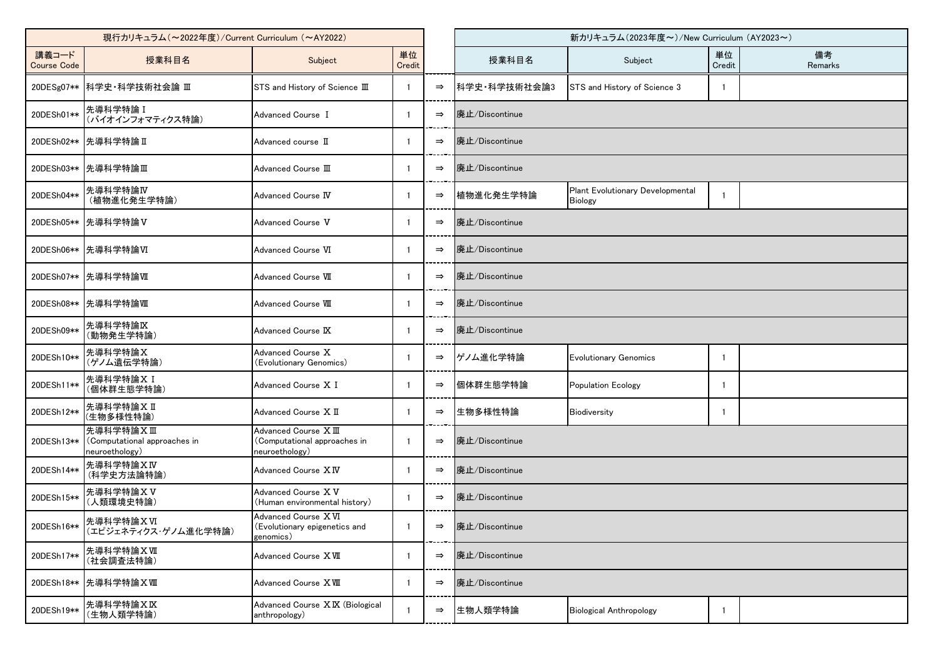| 現行カリキュラム (~2022年度)/Current Curriculum (~AY2022) |                                                             |                                                                         |              |               | 新カリキュラム (2023年度~)/New Curriculum (AY2023~) |                                                    |              |               |  |  |  |  |
|-------------------------------------------------|-------------------------------------------------------------|-------------------------------------------------------------------------|--------------|---------------|--------------------------------------------|----------------------------------------------------|--------------|---------------|--|--|--|--|
| 講義コード<br><b>Course Code</b>                     | 授業科目名                                                       | Subject                                                                 | 単位<br>Credit |               | 授業科目名                                      | Subject                                            | 単位<br>Credit | 備考<br>Remarks |  |  |  |  |
| 20DESg07**                                      | 科学史·科学技術社会論 Ⅲ                                               | STS and History of Science III                                          | -1           | $\Rightarrow$ | 科学史·科学技術社会論3                               | STS and History of Science 3                       |              |               |  |  |  |  |
| 20DESh01**                                      | 先導科学特論 I<br>(バイオインフォマティクス特論)                                | Advanced Course I                                                       | -1           | $\Rightarrow$ | 廃止/Discontinue                             |                                                    |              |               |  |  |  |  |
| 20DESh02**                                      | 先導科学特論Ⅱ                                                     | Advanced course II                                                      | -1           | $\Rightarrow$ | 廃止/Discontinue                             |                                                    |              |               |  |  |  |  |
| 20DESh03**                                      | 先導科学特論Ⅲ                                                     | Advanced Course III                                                     | -1           | $\Rightarrow$ | 廃止/Discontinue                             |                                                    |              |               |  |  |  |  |
| 20DESh04**                                      | 先導科学特論IV<br>(植物進化発生学特論)                                     | Advanced Course IV                                                      | $\mathbf{1}$ | $\Rightarrow$ | 植物進化発生学特論                                  | Plant Evolutionary Developmental<br><b>Biology</b> |              |               |  |  |  |  |
| 20DESh05**                                      | 先導科学特論V                                                     | Advanced Course V                                                       | $\mathbf{1}$ | $\Rightarrow$ | 廃止/Discontinue                             |                                                    |              |               |  |  |  |  |
| 20DESh06**                                      | 先導科学特論VI                                                    | Advanced Course VI                                                      | $\mathbf{1}$ | $\Rightarrow$ | 廃止/Discontinue                             |                                                    |              |               |  |  |  |  |
| 20DESh07**                                      | 先導科学特論Ⅶ                                                     | Advanced Course VII                                                     | $\mathbf{1}$ | $\Rightarrow$ | 廃止/Discontinue                             |                                                    |              |               |  |  |  |  |
| 20DESh08**                                      | 先導科学特論皿                                                     | Advanced Course VIII                                                    | -1           | $\Rightarrow$ | 廃止/Discontinue                             |                                                    |              |               |  |  |  |  |
| 20DESh09**                                      | 先導科学特論区<br>(動物発生学特論)                                        | Advanced Course IX                                                      | $\mathbf{1}$ | $\Rightarrow$ | 廃止/Discontinue                             |                                                    |              |               |  |  |  |  |
| 20DESh10**                                      | 先導科学特論X<br>(ゲノム遺伝学特論)                                       | Advanced Course X<br>(Evolutionary Genomics)                            | -1           | $\Rightarrow$ | ゲノム進化学特論<br><b>Evolutionary Genomics</b>   |                                                    |              |               |  |  |  |  |
| 20DESh11**                                      | 先導科学特論XI<br>(個体群生態学特論)                                      | Advanced Course X I                                                     | -1           | $\Rightarrow$ | 個体群生態学特論                                   | <b>Population Ecology</b>                          |              |               |  |  |  |  |
| 20DESh12**                                      | 先導科学特論XI<br>(生物多様性特論)                                       | Advanced Course X II                                                    | -1           | $\Rightarrow$ | 生物多様性特論                                    | Biodiversity                                       |              |               |  |  |  |  |
| 20DESh13**                                      | 先導科学特論XII<br>(Computational approaches in<br>neuroethology) | Advanced Course X III<br>(Computational approaches in<br>neuroethology) | -1           | $\Rightarrow$ | 廃止/Discontinue                             |                                                    |              |               |  |  |  |  |
| 20DESh14**                                      | 先導科学特論XIV<br>(科学史方法論特論)                                     | Advanced Course XIV                                                     | -1           | $\Rightarrow$ | 廃止/Discontinue                             |                                                    |              |               |  |  |  |  |
| 20DESh15**                                      | 先導科学特論XV<br>(人類環境史特論)                                       | Advanced Course X V<br>(Human environmental history)                    | -1           | $\Rightarrow$ | 廃止/Discontinue                             |                                                    |              |               |  |  |  |  |
| 20DESh16**                                      | 先導科学特論XVI<br>(エピジェネティクス・ゲノム進化学特論)                           | Advanced Course XVI<br>(Evolutionary epigenetics and<br>genomics)       | $\mathbf{1}$ | $\Rightarrow$ | 廃止/Discontinue                             |                                                    |              |               |  |  |  |  |
| 20DESh17**                                      | 先導科学特論XW<br>(社会調査法特論)                                       | Advanced Course XVII                                                    | $\mathbf{1}$ | $\Rightarrow$ | 廃止/Discontinue                             |                                                    |              |               |  |  |  |  |
| 20DESh18**                                      | 先導科学特論XW                                                    | Advanced Course XVIII                                                   | $\mathbf{1}$ | $\Rightarrow$ | 廃止/Discontinue                             |                                                    |              |               |  |  |  |  |
| 20DESh19**                                      | 先導科学特論XIX<br>(生物人類学特論)                                      | Advanced Course XIX (Biological<br>anthropology)                        |              | $\Rightarrow$ | 生物人類学特論                                    | <b>Biological Anthropology</b>                     |              |               |  |  |  |  |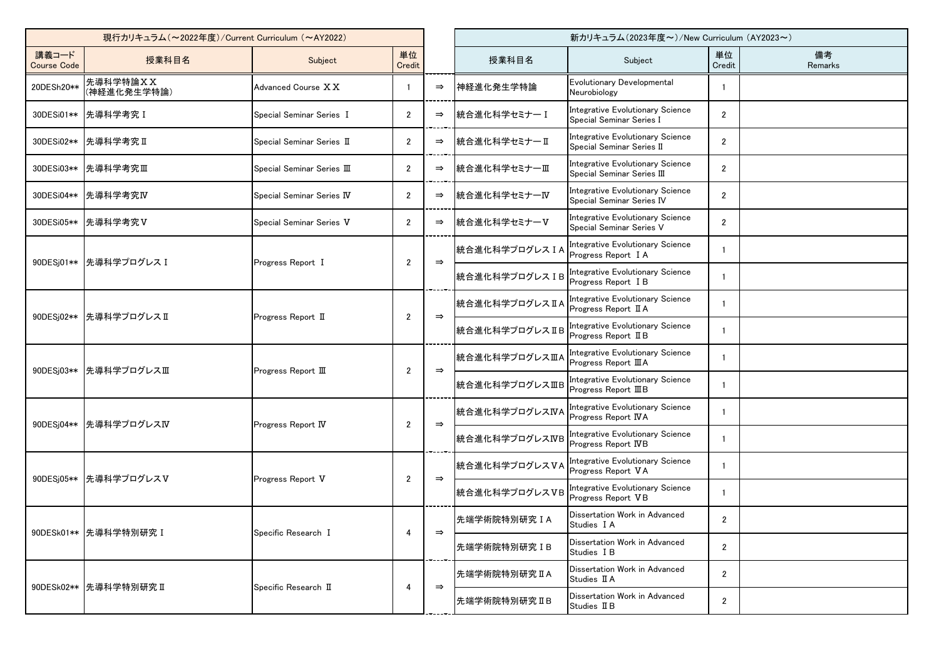| 現行カリキュラム (~2022年度)/Current Curriculum (~AY2022) |                         |                            |                |               |                    | 新カリキュラム(2023年度~)/New Curriculum (AY2023~)                             |                |               |
|-------------------------------------------------|-------------------------|----------------------------|----------------|---------------|--------------------|-----------------------------------------------------------------------|----------------|---------------|
| 講義コード<br><b>Course Code</b>                     | 授業科目名                   | Subject                    | 単位<br>Credit   |               | 授業科目名              | Subject                                                               | 単位<br>Credit   | 備考<br>Remarks |
| 20DESh20**                                      | 先導科学特論XX<br>(神経進化発生学特論) | Advanced Course XX         |                | $\Rightarrow$ | 神経進化発生学特論          | <b>Evolutionary Developmental</b><br>Neurobiology                     |                |               |
| 30DESi01**                                      | 先導科学考究 I                | Special Seminar Series I   | $\overline{2}$ | $\Rightarrow$ | 統合進化科学セミナーI        | Integrative Evolutionary Science<br>Special Seminar Series I          | $\overline{2}$ |               |
| 30DESi02**                                      | 先導科学考究Ⅱ                 | Special Seminar Series II  | $\overline{2}$ | $\Rightarrow$ | 格合進化科学セミナーⅡ        | Integrative Evolutionary Science<br>Special Seminar Series II         | $\overline{2}$ |               |
| 30DESi03**                                      | 先導科学考究Ⅲ                 | Special Seminar Series III | $\overline{2}$ | $\Rightarrow$ | 統合進化科学セミナーⅢ        | <b>Integrative Evolutionary Science</b><br>Special Seminar Series III | $\overline{2}$ |               |
| 30DESi04**                                      | 先導科学考究IV                | Special Seminar Series IV  | $\overline{2}$ | $\Rightarrow$ | 統合進化科学セミナーIV       | Integrative Evolutionary Science<br>Special Seminar Series IV         | $\overline{2}$ |               |
| 30DESi05**                                      | 先導科学考究V                 | Special Seminar Series V   | $\mathbf{2}$   | $\Rightarrow$ | ┃統合進化科学セミナーⅤ       | Integrative Evolutionary Science<br>Special Seminar Series V          | $\overline{2}$ |               |
|                                                 | 90DESj01**  先導科学プログレス I | Progress Report I          | $\overline{2}$ | $\Rightarrow$ | 格合進化科学プログレス IA     | Integrative Evolutionary Science<br>Progress Report I A               | -1             |               |
|                                                 |                         |                            |                |               | 格合進化科学プログレス IB     | Integrative Evolutionary Science<br>Progress Report I B               |                |               |
|                                                 | 先導科学プログレスⅡ              | Progress Report II         | 2              |               | 協合進化科学プログレスⅡA      | Integrative Evolutionary Science<br>Progress Report II A              | -1             |               |
| 90DESj02**                                      |                         |                            |                | $\Rightarrow$ | 協合進化科学プログレスⅡB      | Integrative Evolutionary Science<br>Progress Report II B              |                |               |
|                                                 | 先導科学プログレスⅢ              | Progress Report III        | $\overline{2}$ | $\Rightarrow$ | 統合進化科学プログレスⅢA      | Integrative Evolutionary Science<br>Progress Report III A             |                |               |
| 90DESj03**                                      |                         |                            |                |               | 标合進化科学プログレスIIB     | Integrative Evolutionary Science<br>Progress Report IIIB              |                |               |
| 90DESj04**                                      | 先導科学プログレスⅣ              | Progress Report IV         | $\overline{2}$ | $\Rightarrow$ | 統合進化科学プログレスIVA     | Integrative Evolutionary Science<br>Progress Report IVA               |                |               |
|                                                 |                         |                            |                |               | 統合進化科学プログレスIVB     | ntegrative Evolutionary Science<br>Progress Report IVB                |                |               |
|                                                 | 90DESj05**  先導科学プログレスV  | Progress Report V          | $\mathbf{2}$   | $\Rightarrow$ | 統合進化科学プログレスVA      | Integrative Evolutionary Science<br>Progress Report VA                |                |               |
|                                                 |                         |                            |                |               | 統合進化科学プログレスVB      | <b>Integrative Evolutionary Science</b><br>Progress Report VB         | $\overline{1}$ |               |
|                                                 |                         | Specific Research I        | 4              |               | 先端学術院特別研究 I A      | Dissertation Work in Advanced<br>Studies I A                          | $\overline{2}$ |               |
|                                                 | 90DESk01**  先導科学特別研究 I  |                            |                | $\Rightarrow$ | 先端学術院特別研究 IB       | Dissertation Work in Advanced<br>Studies I B                          | $\overline{2}$ |               |
|                                                 |                         |                            |                | $\Rightarrow$ | <b>先端学術院特別研究ⅡA</b> | Dissertation Work in Advanced<br>Studies II A                         | $\overline{2}$ |               |
|                                                 | 90DESk02**  先導科学特別研究 II | Specific Research II       | 4              |               | 先端学術院特別研究 IIB      | Dissertation Work in Advanced<br>Studies II B                         | $\overline{2}$ |               |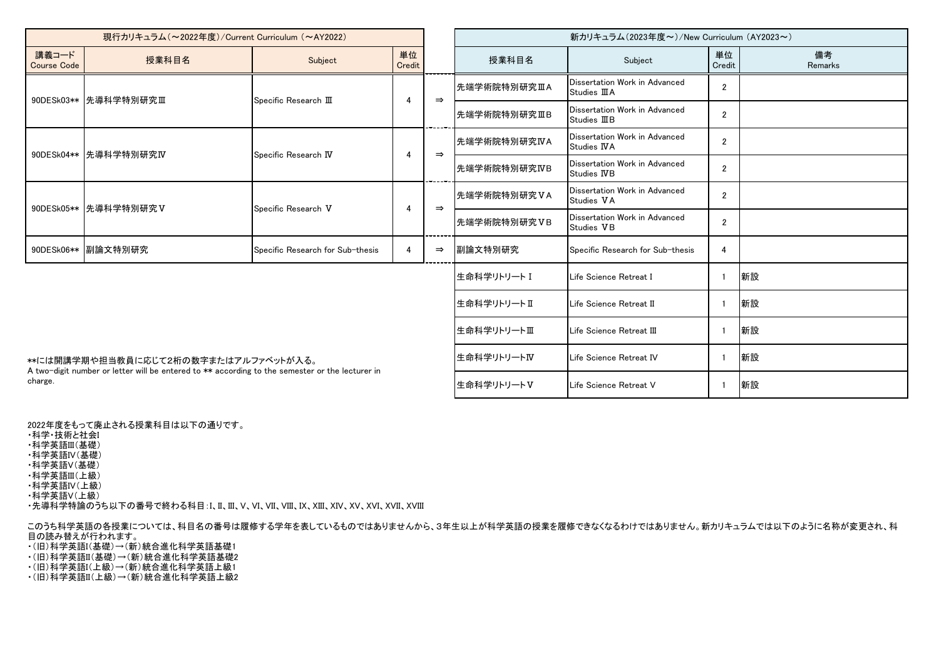| 現行カリキュラム (~2022年度)/Current Curriculum (~AY2022)                                                            |                                      |                                  |                |               |                         | 新カリキュラム (2023年度~)/New Curriculum (AY2023~)            |                |               |  |  |
|------------------------------------------------------------------------------------------------------------|--------------------------------------|----------------------------------|----------------|---------------|-------------------------|-------------------------------------------------------|----------------|---------------|--|--|
| 講義コード<br><b>Course Code</b>                                                                                | 授業科目名                                | Subject                          | 単位<br>Credit   |               | 授業科目名                   | Subject                                               | 単位<br>Credit   | 備考<br>Remarks |  |  |
|                                                                                                            | 90DESk03**  先導科学特別研究Ⅲ                | Specific Research III            |                | $\Rightarrow$ | 先端学術院特別研究ⅢA             | Dissertation Work in Advanced<br>Studies <b>III</b> A | $\overline{2}$ |               |  |  |
|                                                                                                            |                                      |                                  |                |               | 先端学術院特別研究ⅢB             | Dissertation Work in Advanced<br>Studies <b>III</b> B | $\overline{2}$ |               |  |  |
|                                                                                                            | 90DESk04**  先導科学特別研究IV               | Specific Research IV             | 4              | $\Rightarrow$ | 先端学術院特別研究IVA            | Dissertation Work in Advanced<br>Studies IVA          | $\overline{2}$ |               |  |  |
|                                                                                                            |                                      |                                  |                |               | 先端学術院特別研究IVB            | Dissertation Work in Advanced<br>Studies IVB          | $\overline{2}$ |               |  |  |
|                                                                                                            | 90DESk05**  先導科学特別研究V                | Specific Research V              |                | $\Rightarrow$ | 先端学術院特別研究VA             | Dissertation Work in Advanced<br>Studies VA           | $\overline{2}$ |               |  |  |
|                                                                                                            |                                      |                                  |                |               | 先端学術院特別研究VB             | Dissertation Work in Advanced<br>Studies VB           | $\overline{2}$ |               |  |  |
|                                                                                                            | 90DESk06** 副論文特別研究                   | Specific Research for Sub-thesis | $\overline{4}$ | $\Rightarrow$ | 副論文特別研究                 | Specific Research for Sub-thesis                      | 4              |               |  |  |
|                                                                                                            |                                      |                                  |                |               | 生命科学リトリートI              | Life Science Retreat I                                |                | 新設            |  |  |
|                                                                                                            |                                      |                                  |                |               | 生命科学リトリートⅡ              | Life Science Retreat II                               |                | 新設            |  |  |
|                                                                                                            |                                      |                                  |                |               | 生命科学リトリートⅢ              | Life Science Retreat III                              |                | 新設            |  |  |
|                                                                                                            | **には開講学期や担当教員に応じて2桁の数字またはアルファベットが入る。 |                                  |                | 生命科学リトリートIV   | Life Science Retreat IV |                                                       | 新設             |               |  |  |
| A two-digit number or letter will be entered to ** according to the semester or the lecturer in<br>charge. |                                      |                                  |                |               | 生命科学リトリートV              | Life Science Retreat V                                |                | 新設            |  |  |

2022年度をもって廃止される授業科目は以下の通りです。 ・科学・技術と社会I ・科学英語III(基礎) ・科学英語IV(基礎) ・科学英語V(基礎) ・科学英語III(上級) ・科学英語IV(上級) ・科学英語V(上級) ・先導科学特論のうち以下の番号で終わる科目:I、II、III、V、VI、VII、VIII、IX、XIII、XIV、XV、XVI、XVII、XVIII

このうち科学英語の各授業については、科目名の番号は履修する学年を表しているものではありませんから、3年生以上が科学英語の授業を履修できなくなるわけではありません。新カリキュラムでは以下のように名称が変更され、科 目の読み替えが行われます。 ・(旧)科学英語I(基礎)→(新)統合進化科学英語基礎1 ・(旧)科学英語II(基礎)→(新)統合進化科学英語基礎2 ・(旧)科学英語I(上級)→(新)統合進化科学英語上級1 ・(旧)科学英語II(上級)→(新)統合進化科学英語上級2